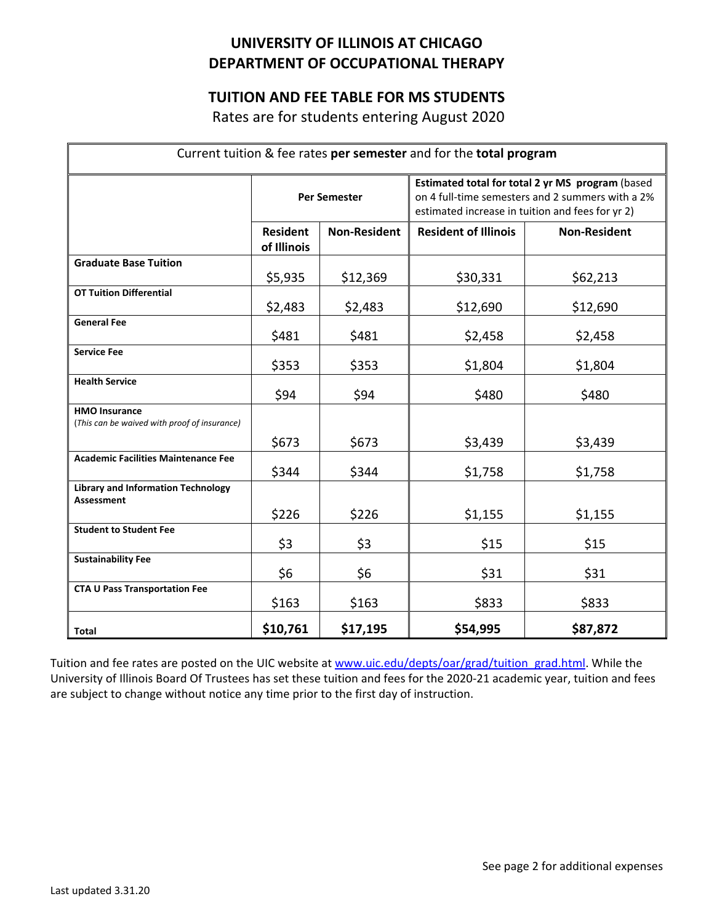## **UNIVERSITY OF ILLINOIS AT CHICAGO DEPARTMENT OF OCCUPATIONAL THERAPY**

## **TUITION AND FEE TABLE FOR MS STUDENTS**

Rates are for students entering August 2020

| Current tuition & fee rates per semester and for the total program   |                                |                     |                                                                                                                                                          |                     |
|----------------------------------------------------------------------|--------------------------------|---------------------|----------------------------------------------------------------------------------------------------------------------------------------------------------|---------------------|
|                                                                      | <b>Per Semester</b>            |                     | Estimated total for total 2 yr MS program (based<br>on 4 full-time semesters and 2 summers with a 2%<br>estimated increase in tuition and fees for yr 2) |                     |
|                                                                      | <b>Resident</b><br>of Illinois | <b>Non-Resident</b> | <b>Resident of Illinois</b>                                                                                                                              | <b>Non-Resident</b> |
| <b>Graduate Base Tuition</b>                                         | \$5,935                        | \$12,369            | \$30,331                                                                                                                                                 | \$62,213            |
| <b>OT Tuition Differential</b>                                       | \$2,483                        | \$2,483             | \$12,690                                                                                                                                                 | \$12,690            |
| <b>General Fee</b>                                                   | \$481                          | \$481               | \$2,458                                                                                                                                                  | \$2,458             |
| <b>Service Fee</b>                                                   | \$353                          | \$353               | \$1,804                                                                                                                                                  | \$1,804             |
| <b>Health Service</b>                                                | \$94                           | \$94                | \$480                                                                                                                                                    | \$480               |
| <b>HMO Insurance</b><br>(This can be waived with proof of insurance) |                                |                     |                                                                                                                                                          |                     |
|                                                                      | \$673                          | \$673               | \$3,439                                                                                                                                                  | \$3,439             |
| <b>Academic Facilities Maintenance Fee</b>                           | \$344                          | \$344               | \$1,758                                                                                                                                                  | \$1,758             |
| <b>Library and Information Technology</b><br><b>Assessment</b>       | \$226                          | \$226               | \$1,155                                                                                                                                                  | \$1,155             |
| <b>Student to Student Fee</b>                                        | \$3                            | \$3                 | \$15                                                                                                                                                     | \$15                |
| <b>Sustainability Fee</b>                                            | \$6                            | \$6                 | \$31                                                                                                                                                     | \$31                |
| <b>CTA U Pass Transportation Fee</b>                                 | \$163                          | \$163               | \$833                                                                                                                                                    | \$833               |
| Total                                                                | \$10,761                       | \$17,195            | \$54,995                                                                                                                                                 | \$87,872            |

Tuition and fee rates are posted on the UIC website at [www.uic.edu/depts/oar/grad/tuition\\_grad.html.](http://www.uic.edu/depts/oar/grad/tuition_grad.html) While the University of Illinois Board Of Trustees has set these tuition and fees for the 2020-21 academic year, tuition and fees are subject to change without notice any time prior to the first day of instruction.